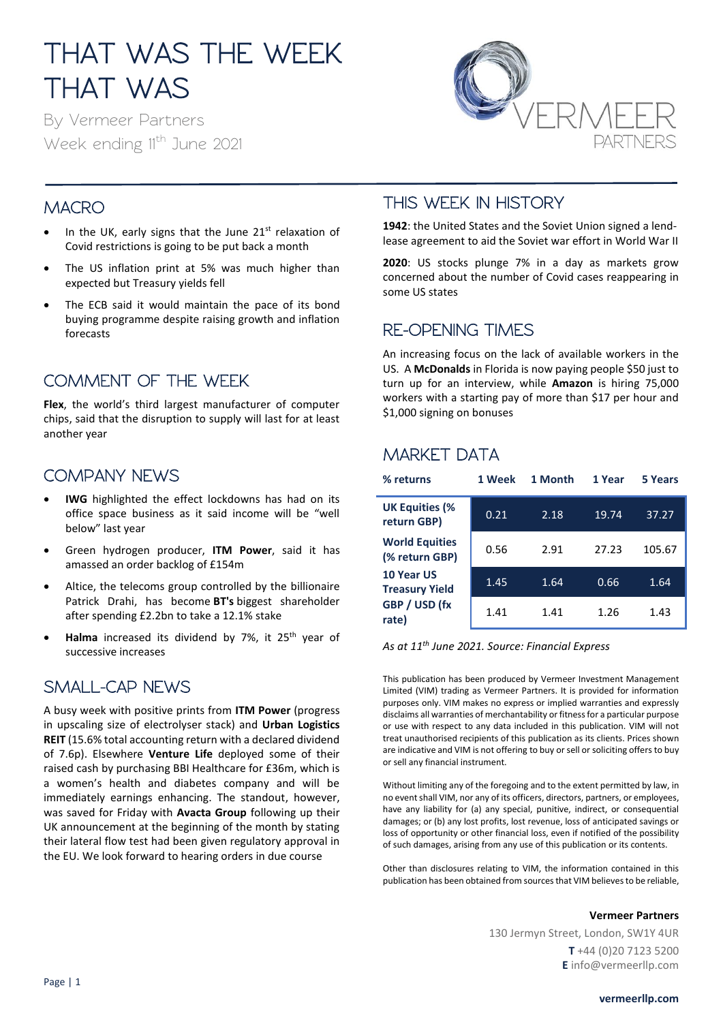# THAT WAS THE WEEK THAT WAS

By Vermeer Partners Week ending 11<sup>th</sup> June 2021



## **MACRO**

- In the UK, early signs that the June  $21<sup>st</sup>$  relaxation of Covid restrictions is going to be put back a month
- The US inflation print at 5% was much higher than expected but Treasury yields fell
- The ECB said it would maintain the pace of its bond buying programme despite raising growth and inflation forecasts

# COMMENT OF THE WEEK

**Flex**, the world's third largest manufacturer of computer chips, said that the disruption to supply will last for at least another year

## COMPANY NEWS

- **IWG** highlighted the effect lockdowns has had on its office space business as it said income will be "well below" last year
- Green hydrogen producer, **ITM Power**, said it has amassed an order backlog of £154m
- Altice, the telecoms group controlled by the billionaire Patrick Drahi, has become **BT's** biggest shareholder after spending £2.2bn to take a 12.1% stake
- Halma increased its dividend by 7%, it 25<sup>th</sup> year of successive increases

## SMALL-CAP NEWS

A busy week with positive prints from **ITM Power** (progress in upscaling size of electrolyser stack) and **Urban Logistics REIT** (15.6% total accounting return with a declared dividend of 7.6p). Elsewhere **Venture Life** deployed some of their raised cash by purchasing BBI Healthcare for £36m, which is a women's health and diabetes company and will be immediately earnings enhancing. The standout, however, was saved for Friday with **Avacta Group** following up their UK announcement at the beginning of the month by stating their lateral flow test had been given regulatory approval in the EU. We look forward to hearing orders in due course

## THIS WEEK IN HISTORY

**1942**: the United States and the Soviet Union signed a lendlease agreement to aid the Soviet war effort in World War II

**2020**: US stocks plunge 7% in a day as markets grow concerned about the number of Covid cases reappearing in some US states

### RE-OPENING TIMES

An increasing focus on the lack of available workers in the US. A **McDonalds** in Florida is now paying people \$50 just to turn up for an interview, while **Amazon** is hiring 75,000 workers with a starting pay of more than \$17 per hour and \$1,000 signing on bonuses

# MARKET DATA

| % returns                               | 1 Week | 1 Month | 1 Year | 5 Years |
|-----------------------------------------|--------|---------|--------|---------|
| <b>UK Equities (%</b><br>return GBP)    | 0.21   | 2.18    | 19.74  | 37.27   |
| <b>World Equities</b><br>(% return GBP) | 0.56   | 2.91    | 27.23  | 105.67  |
| 10 Year US<br><b>Treasury Yield</b>     | 1.45   | 1.64    | 0.66   | 1.64    |
| GBP / USD (fx<br>rate)                  | 1.41   | 1.41    | 1.26   | 1.43    |

*As at 11th June 2021. Source: Financial Express*

This publication has been produced by Vermeer Investment Management Limited (VIM) trading as Vermeer Partners. It is provided for information purposes only. VIM makes no express or implied warranties and expressly disclaims all warranties of merchantability or fitness for a particular purpose or use with respect to any data included in this publication. VIM will not treat unauthorised recipients of this publication as its clients. Prices shown are indicative and VIM is not offering to buy or sell or soliciting offers to buy or sell any financial instrument.

Without limiting any of the foregoing and to the extent permitted by law, in no event shall VIM, nor any of its officers, directors, partners, or employees, have any liability for (a) any special, punitive, indirect, or consequential damages; or (b) any lost profits, lost revenue, loss of anticipated savings or loss of opportunity or other financial loss, even if notified of the possibility of such damages, arising from any use of this publication or its contents.

Other than disclosures relating to VIM, the information contained in this publication has been obtained from sources that VIM believes to be reliable,

#### **Vermeer Partners**

130 Jermyn Street, London, SW1Y 4UR **T** +44 (0)20 7123 5200 **E** info@vermeerllp.com